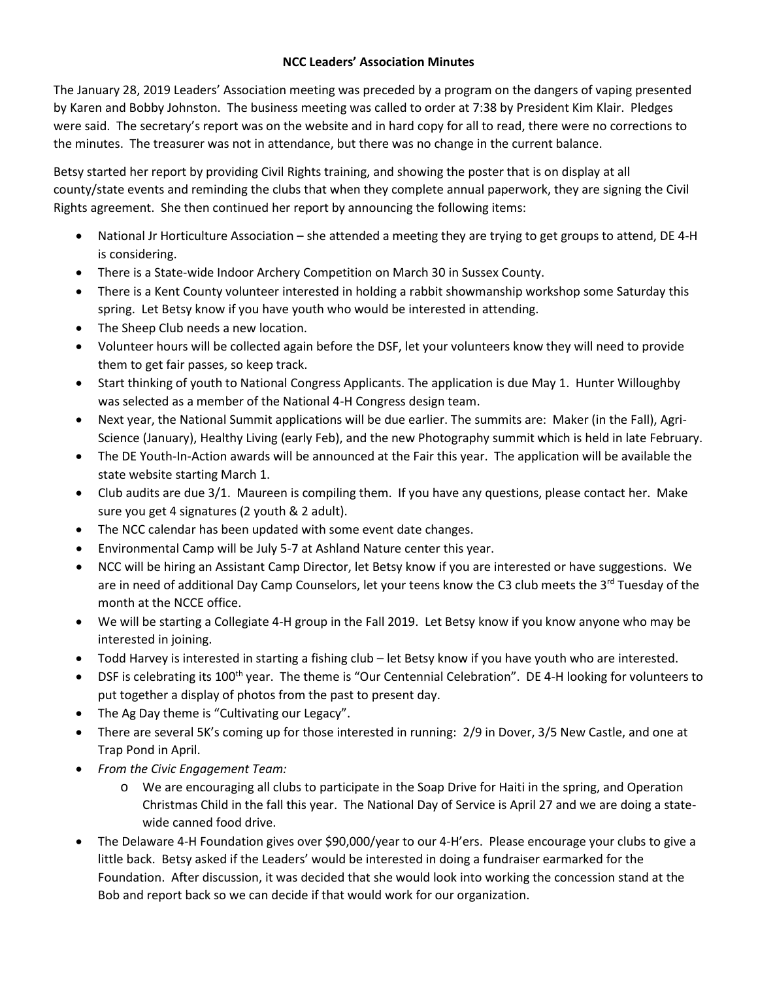## **NCC Leaders' Association Minutes**

The January 28, 2019 Leaders' Association meeting was preceded by a program on the dangers of vaping presented by Karen and Bobby Johnston. The business meeting was called to order at 7:38 by President Kim Klair. Pledges were said. The secretary's report was on the website and in hard copy for all to read, there were no corrections to the minutes. The treasurer was not in attendance, but there was no change in the current balance.

Betsy started her report by providing Civil Rights training, and showing the poster that is on display at all county/state events and reminding the clubs that when they complete annual paperwork, they are signing the Civil Rights agreement. She then continued her report by announcing the following items:

- National Jr Horticulture Association she attended a meeting they are trying to get groups to attend, DE 4-H is considering.
- There is a State-wide Indoor Archery Competition on March 30 in Sussex County.
- There is a Kent County volunteer interested in holding a rabbit showmanship workshop some Saturday this spring. Let Betsy know if you have youth who would be interested in attending.
- The Sheep Club needs a new location.
- Volunteer hours will be collected again before the DSF, let your volunteers know they will need to provide them to get fair passes, so keep track.
- Start thinking of youth to National Congress Applicants. The application is due May 1. Hunter Willoughby was selected as a member of the National 4-H Congress design team.
- Next year, the National Summit applications will be due earlier. The summits are: Maker (in the Fall), Agri-Science (January), Healthy Living (early Feb), and the new Photography summit which is held in late February.
- The DE Youth-In-Action awards will be announced at the Fair this year. The application will be available the state website starting March 1.
- Club audits are due 3/1. Maureen is compiling them. If you have any questions, please contact her. Make sure you get 4 signatures (2 youth & 2 adult).
- The NCC calendar has been updated with some event date changes.
- Environmental Camp will be July 5-7 at Ashland Nature center this year.
- NCC will be hiring an Assistant Camp Director, let Betsy know if you are interested or have suggestions. We are in need of additional Day Camp Counselors, let your teens know the C3 club meets the 3<sup>rd</sup> Tuesday of the month at the NCCE office.
- We will be starting a Collegiate 4-H group in the Fall 2019. Let Betsy know if you know anyone who may be interested in joining.
- Todd Harvey is interested in starting a fishing club let Betsy know if you have youth who are interested.
- DSF is celebrating its 100<sup>th</sup> year. The theme is "Our Centennial Celebration". DE4-H looking for volunteers to put together a display of photos from the past to present day.
- The Ag Day theme is "Cultivating our Legacy".
- There are several 5K's coming up for those interested in running: 2/9 in Dover, 3/5 New Castle, and one at Trap Pond in April.
- *From the Civic Engagement Team:*
	- o We are encouraging all clubs to participate in the Soap Drive for Haiti in the spring, and Operation Christmas Child in the fall this year. The National Day of Service is April 27 and we are doing a statewide canned food drive.
- The Delaware 4-H Foundation gives over \$90,000/year to our 4-H'ers. Please encourage your clubs to give a little back. Betsy asked if the Leaders' would be interested in doing a fundraiser earmarked for the Foundation. After discussion, it was decided that she would look into working the concession stand at the Bob and report back so we can decide if that would work for our organization.